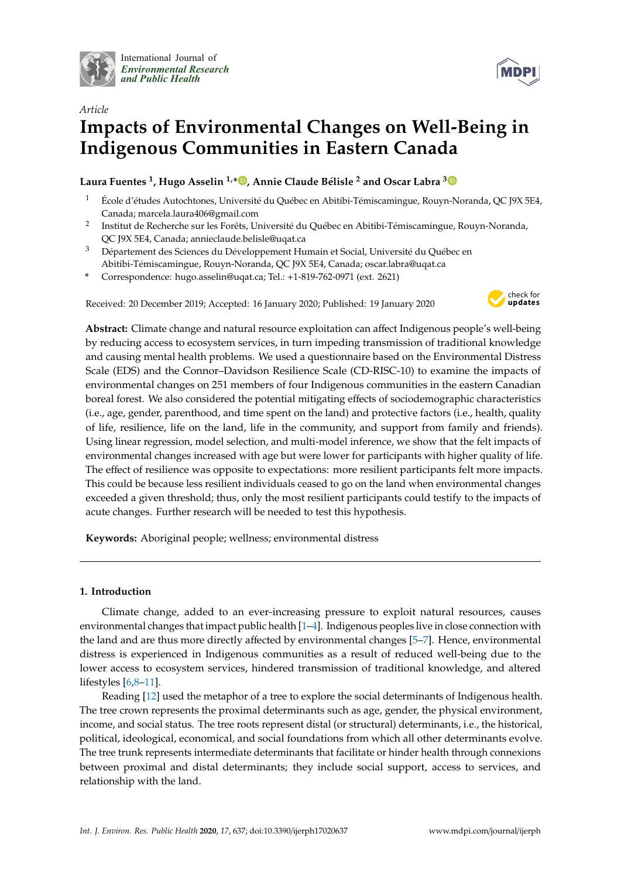

International Journal of *[Environmental Research](http://www.mdpi.com/journal/ijerph) and Public Health*



# *Article* **Impacts of Environmental Changes on Well-Being in Indigenous Communities in Eastern Canada**

**Laura Fuentes <sup>1</sup> , Hugo Asselin 1,[\\*](https://orcid.org/0000-0002-9542-4994) , Annie Claude Bélisle <sup>2</sup> and Oscar Labra [3](https://orcid.org/0000-0002-9394-1410)**

- <sup>1</sup> École d'études Autochtones, Université du Québec en Abitibi-Témiscamingue, Rouyn-Noranda, QC J9X 5E4, Canada; marcela.laura406@gmail.com
- 2 Institut de Recherche sur les Forêts, Université du Québec en Abitibi-Témiscamingue, Rouyn-Noranda, QC J9X 5E4, Canada; annieclaude.belisle@uqat.ca
- <sup>3</sup> Département des Sciences du Développement Humain et Social, Université du Québec en Abitibi-Témiscamingue, Rouyn-Noranda, QC J9X 5E4, Canada; oscar.labra@uqat.ca
- **\*** Correspondence: hugo.asselin@uqat.ca; Tel.: +1-819-762-0971 (ext. 2621)

Received: 20 December 2019; Accepted: 16 January 2020; Published: 19 January 2020



**Abstract:** Climate change and natural resource exploitation can affect Indigenous people's well-being by reducing access to ecosystem services, in turn impeding transmission of traditional knowledge and causing mental health problems. We used a questionnaire based on the Environmental Distress Scale (EDS) and the Connor–Davidson Resilience Scale (CD-RISC-10) to examine the impacts of environmental changes on 251 members of four Indigenous communities in the eastern Canadian boreal forest. We also considered the potential mitigating effects of sociodemographic characteristics (i.e., age, gender, parenthood, and time spent on the land) and protective factors (i.e., health, quality of life, resilience, life on the land, life in the community, and support from family and friends). Using linear regression, model selection, and multi-model inference, we show that the felt impacts of environmental changes increased with age but were lower for participants with higher quality of life. The effect of resilience was opposite to expectations: more resilient participants felt more impacts. This could be because less resilient individuals ceased to go on the land when environmental changes exceeded a given threshold; thus, only the most resilient participants could testify to the impacts of acute changes. Further research will be needed to test this hypothesis.

**Keywords:** Aboriginal people; wellness; environmental distress

# **1. Introduction**

Climate change, added to an ever-increasing pressure to exploit natural resources, causes environmental changes that impact public health [\[1](#page-7-0)[–4\]](#page-7-1). Indigenous peoples live in close connection with the land and are thus more directly affected by environmental changes [\[5–](#page-7-2)[7\]](#page-7-3). Hence, environmental distress is experienced in Indigenous communities as a result of reduced well-being due to the lower access to ecosystem services, hindered transmission of traditional knowledge, and altered lifestyles [\[6,](#page-7-4)[8–](#page-7-5)[11\]](#page-8-0).

Reading [\[12\]](#page-8-1) used the metaphor of a tree to explore the social determinants of Indigenous health. The tree crown represents the proximal determinants such as age, gender, the physical environment, income, and social status. The tree roots represent distal (or structural) determinants, i.e., the historical, political, ideological, economical, and social foundations from which all other determinants evolve. The tree trunk represents intermediate determinants that facilitate or hinder health through connexions between proximal and distal determinants; they include social support, access to services, and relationship with the land.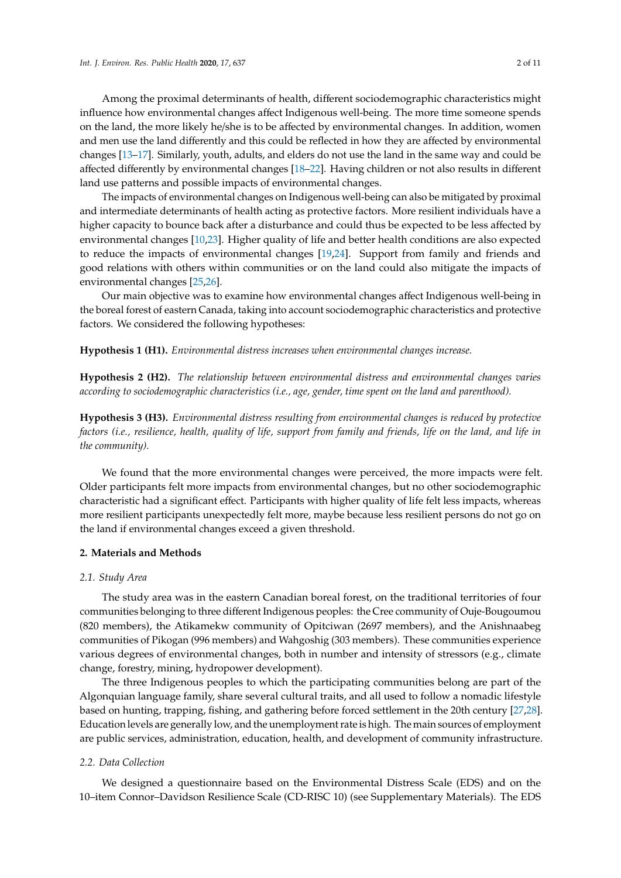Among the proximal determinants of health, different sociodemographic characteristics might influence how environmental changes affect Indigenous well-being. The more time someone spends on the land, the more likely he/she is to be affected by environmental changes. In addition, women and men use the land differently and this could be reflected in how they are affected by environmental changes [\[13](#page-8-2)[–17\]](#page-8-3). Similarly, youth, adults, and elders do not use the land in the same way and could be affected differently by environmental changes [\[18](#page-8-4)[–22\]](#page-8-5). Having children or not also results in different land use patterns and possible impacts of environmental changes.

The impacts of environmental changes on Indigenous well-being can also be mitigated by proximal and intermediate determinants of health acting as protective factors. More resilient individuals have a higher capacity to bounce back after a disturbance and could thus be expected to be less affected by environmental changes [\[10](#page-8-6)[,23\]](#page-8-7). Higher quality of life and better health conditions are also expected to reduce the impacts of environmental changes [\[19,](#page-8-8)[24\]](#page-8-9). Support from family and friends and good relations with others within communities or on the land could also mitigate the impacts of environmental changes [\[25](#page-8-10)[,26\]](#page-8-11).

Our main objective was to examine how environmental changes affect Indigenous well-being in the boreal forest of eastern Canada, taking into account sociodemographic characteristics and protective factors. We considered the following hypotheses:

**Hypothesis 1 (H1).** *Environmental distress increases when environmental changes increase.*

**Hypothesis 2 (H2).** *The relationship between environmental distress and environmental changes varies according to sociodemographic characteristics (i.e., age, gender, time spent on the land and parenthood).*

**Hypothesis 3 (H3).** *Environmental distress resulting from environmental changes is reduced by protective factors (i.e., resilience, health, quality of life, support from family and friends, life on the land, and life in the community).*

We found that the more environmental changes were perceived, the more impacts were felt. Older participants felt more impacts from environmental changes, but no other sociodemographic characteristic had a significant effect. Participants with higher quality of life felt less impacts, whereas more resilient participants unexpectedly felt more, maybe because less resilient persons do not go on the land if environmental changes exceed a given threshold.

## **2. Materials and Methods**

#### *2.1. Study Area*

The study area was in the eastern Canadian boreal forest, on the traditional territories of four communities belonging to three different Indigenous peoples: the Cree community of Ouje-Bougoumou (820 members), the Atikamekw community of Opitciwan (2697 members), and the Anishnaabeg communities of Pikogan (996 members) and Wahgoshig (303 members). These communities experience various degrees of environmental changes, both in number and intensity of stressors (e.g., climate change, forestry, mining, hydropower development).

The three Indigenous peoples to which the participating communities belong are part of the Algonquian language family, share several cultural traits, and all used to follow a nomadic lifestyle based on hunting, trapping, fishing, and gathering before forced settlement in the 20th century [\[27](#page-8-12)[,28\]](#page-8-13). Education levels are generally low, and the unemployment rate is high. The main sources of employment are public services, administration, education, health, and development of community infrastructure.

#### *2.2. Data Collection*

We designed a questionnaire based on the Environmental Distress Scale (EDS) and on the 10–item Connor–Davidson Resilience Scale (CD-RISC 10) (see Supplementary Materials). The EDS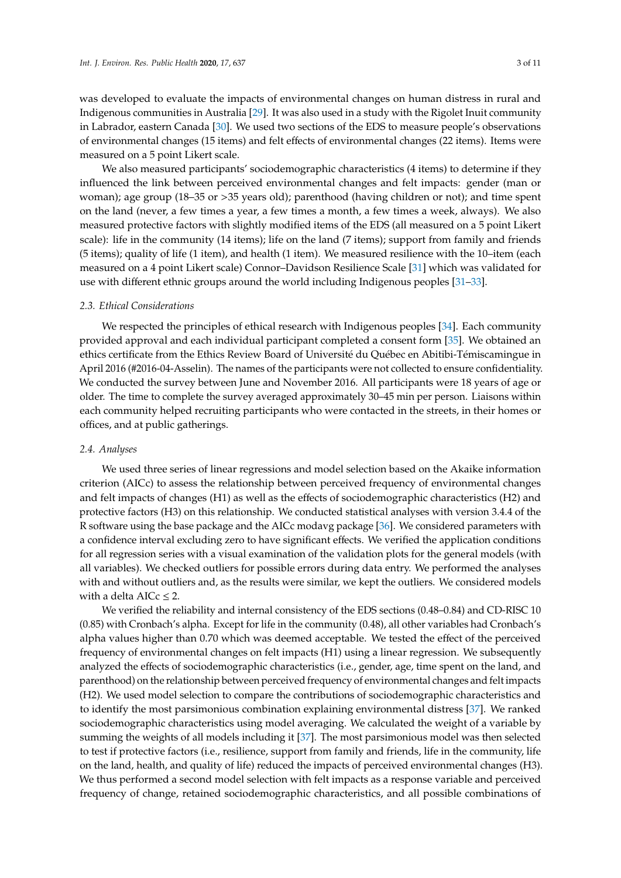was developed to evaluate the impacts of environmental changes on human distress in rural and Indigenous communities in Australia [\[29\]](#page-8-14). It was also used in a study with the Rigolet Inuit community in Labrador, eastern Canada [\[30\]](#page-8-15). We used two sections of the EDS to measure people's observations of environmental changes (15 items) and felt effects of environmental changes (22 items). Items were measured on a 5 point Likert scale.

We also measured participants' sociodemographic characteristics (4 items) to determine if they influenced the link between perceived environmental changes and felt impacts: gender (man or woman); age group (18–35 or >35 years old); parenthood (having children or not); and time spent on the land (never, a few times a year, a few times a month, a few times a week, always). We also measured protective factors with slightly modified items of the EDS (all measured on a 5 point Likert scale): life in the community (14 items); life on the land (7 items); support from family and friends (5 items); quality of life (1 item), and health (1 item). We measured resilience with the 10–item (each measured on a 4 point Likert scale) Connor–Davidson Resilience Scale [\[31\]](#page-8-16) which was validated for use with different ethnic groups around the world including Indigenous peoples [\[31–](#page-8-16)[33\]](#page-9-0).

#### *2.3. Ethical Considerations*

We respected the principles of ethical research with Indigenous peoples [\[34\]](#page-9-1). Each community provided approval and each individual participant completed a consent form [\[35\]](#page-9-2). We obtained an ethics certificate from the Ethics Review Board of Université du Québec en Abitibi-Témiscamingue in April 2016 (#2016-04-Asselin). The names of the participants were not collected to ensure confidentiality. We conducted the survey between June and November 2016. All participants were 18 years of age or older. The time to complete the survey averaged approximately 30–45 min per person. Liaisons within each community helped recruiting participants who were contacted in the streets, in their homes or offices, and at public gatherings.

#### *2.4. Analyses*

We used three series of linear regressions and model selection based on the Akaike information criterion (AICc) to assess the relationship between perceived frequency of environmental changes and felt impacts of changes (H1) as well as the effects of sociodemographic characteristics (H2) and protective factors (H3) on this relationship. We conducted statistical analyses with version 3.4.4 of the R software using the base package and the AICc modavg package [\[36\]](#page-9-3). We considered parameters with a confidence interval excluding zero to have significant effects. We verified the application conditions for all regression series with a visual examination of the validation plots for the general models (with all variables). We checked outliers for possible errors during data entry. We performed the analyses with and without outliers and, as the results were similar, we kept the outliers. We considered models with a delta AIC $c \leq 2$ .

We verified the reliability and internal consistency of the EDS sections (0.48–0.84) and CD-RISC 10 (0.85) with Cronbach's alpha. Except for life in the community (0.48), all other variables had Cronbach's alpha values higher than 0.70 which was deemed acceptable. We tested the effect of the perceived frequency of environmental changes on felt impacts (H1) using a linear regression. We subsequently analyzed the effects of sociodemographic characteristics (i.e., gender, age, time spent on the land, and parenthood) on the relationship between perceived frequency of environmental changes and felt impacts (H2). We used model selection to compare the contributions of sociodemographic characteristics and to identify the most parsimonious combination explaining environmental distress [\[37\]](#page-9-4). We ranked sociodemographic characteristics using model averaging. We calculated the weight of a variable by summing the weights of all models including it [\[37\]](#page-9-4). The most parsimonious model was then selected to test if protective factors (i.e., resilience, support from family and friends, life in the community, life on the land, health, and quality of life) reduced the impacts of perceived environmental changes (H3). We thus performed a second model selection with felt impacts as a response variable and perceived frequency of change, retained sociodemographic characteristics, and all possible combinations of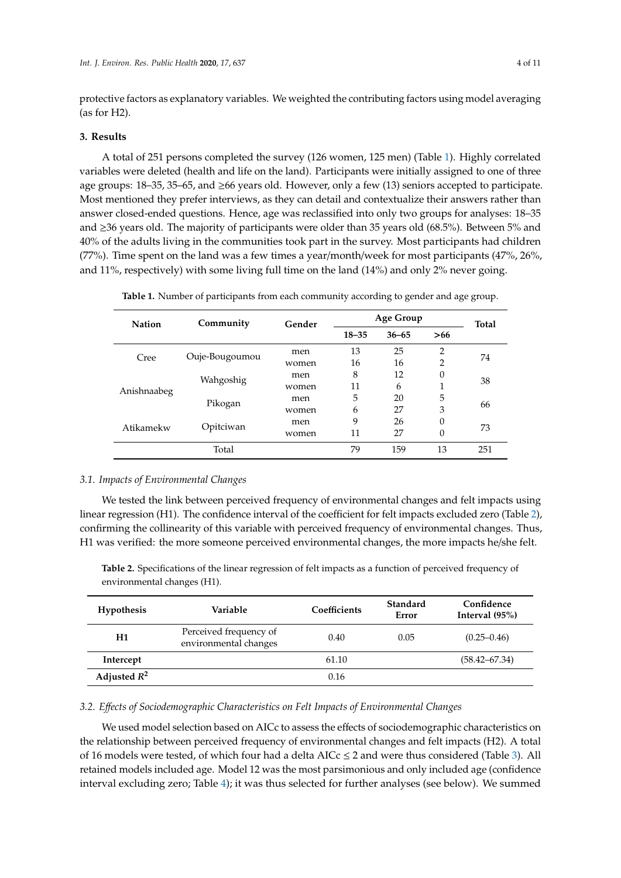protective factors as explanatory variables. We weighted the contributing factors using model averaging (as for H2).

## **3. Results**

A total of 251 persons completed the survey (126 women, 125 men) (Table [1\)](#page-3-0). Highly correlated variables were deleted (health and life on the land). Participants were initially assigned to one of three age groups: 18–35, 35–65, and ≥66 years old. However, only a few (13) seniors accepted to participate. Most mentioned they prefer interviews, as they can detail and contextualize their answers rather than answer closed-ended questions. Hence, age was reclassified into only two groups for analyses: 18–35 and ≥36 years old. The majority of participants were older than 35 years old (68.5%). Between 5% and 40% of the adults living in the communities took part in the survey. Most participants had children (77%). Time spent on the land was a few times a year/month/week for most participants (47%, 26%, and 11%, respectively) with some living full time on the land (14%) and only 2% never going.

|--|

<span id="page-3-0"></span>

| <b>Nation</b> | Community      | Gender | Age Group |           |     | <b>Total</b> |
|---------------|----------------|--------|-----------|-----------|-----|--------------|
|               |                |        | $18 - 35$ | $36 - 65$ | >66 |              |
|               | Ouje-Bougoumou | men    | 13        | 25        | 2   | 74           |
| Cree          |                | women  | 16        | 16        | 2   |              |
| Anishnaabeg   | Wahgoshig      | men    | 8         | 12        | 0   |              |
|               |                | women  | 11        | 6         |     | 38           |
|               | Pikogan        | men    | 5         | 20        | 5   | 66           |
|               |                | women  | 6         | 27        | 3   |              |
| Atikamekw     | Opitciwan      | men    | 9         | 26        | 0   |              |
|               |                | women  | 11        | 27        | 0   | 73           |
|               | Total          |        | 79        | 159       | 13  | 251          |

## *3.1. Impacts of Environmental Changes*

We tested the link between perceived frequency of environmental changes and felt impacts using linear regression (H1). The confidence interval of the coefficient for felt impacts excluded zero (Table [2\)](#page-3-1), confirming the collinearity of this variable with perceived frequency of environmental changes. Thus, H1 was verified: the more someone perceived environmental changes, the more impacts he/she felt.

<span id="page-3-1"></span>**Table 2.** Specifications of the linear regression of felt impacts as a function of perceived frequency of environmental changes (H1).

| <b>Hypothesis</b> | Variable                                        | Coefficients | Standard<br>Error | Confidence<br>Interval $(95%)$ |
|-------------------|-------------------------------------------------|--------------|-------------------|--------------------------------|
| H1                | Perceived frequency of<br>environmental changes | 0.40         | 0.05              | $(0.25 - 0.46)$                |
| Intercept         |                                                 | 61.10        |                   | $(58.42 - 67.34)$              |
| Adjusted $R^2$    |                                                 | 0.16         |                   |                                |

#### *3.2. E*ff*ects of Sociodemographic Characteristics on Felt Impacts of Environmental Changes*

We used model selection based on AICc to assess the effects of sociodemographic characteristics on the relationship between perceived frequency of environmental changes and felt impacts (H2). A total of 16 models were tested, of which four had a delta AICc  $\leq$  2 and were thus considered (Table [3\)](#page-4-0). All retained models included age. Model 12 was the most parsimonious and only included age (confidence interval excluding zero; Table [4\)](#page-4-1); it was thus selected for further analyses (see below). We summed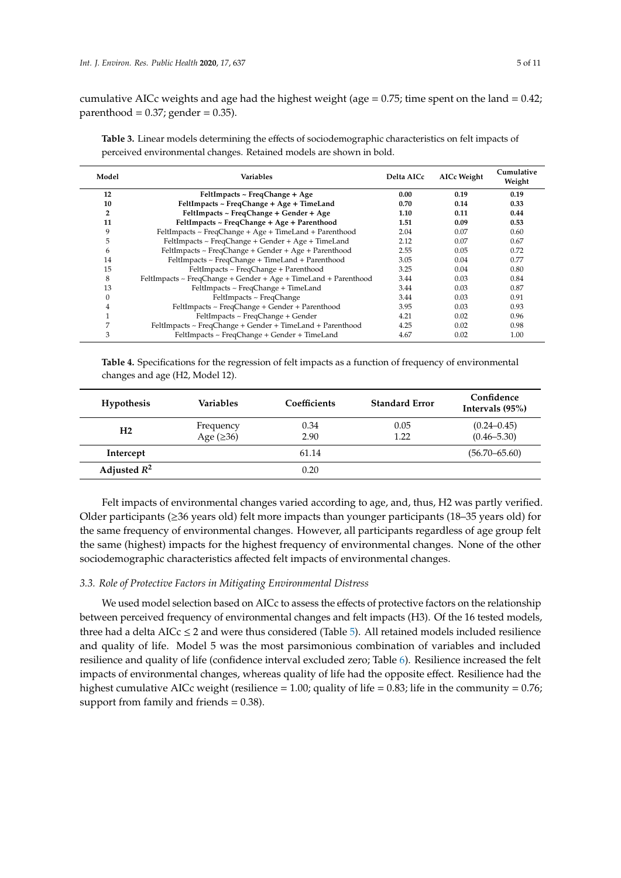cumulative AICc weights and age had the highest weight (age  $= 0.75$ ; time spent on the land  $= 0.42$ ; parenthood =  $0.37$ ; gender =  $0.35$ ).

<span id="page-4-0"></span>

| Table 3. Linear models determining the effects of sociodemographic characteristics on felt impacts of |
|-------------------------------------------------------------------------------------------------------|
| perceived environmental changes. Retained models are shown in bold.                                   |

| Model          | <b>Variables</b>                                                | Delta AICc | <b>AICc Weight</b> | Cumulative<br>Weight |
|----------------|-----------------------------------------------------------------|------------|--------------------|----------------------|
| 12             | FeltImpacts ~ FreqChange + Age                                  | 0.00       | 0.19               | 0.19                 |
| 10             | FeltImpacts ~ FreqChange + Age + TimeLand                       | 0.70       | 0.14               | 0.33                 |
| $\overline{2}$ | FeltImpacts ~ FreqChange + Gender + Age                         | 1.10       | 0.11               | 0.44                 |
| 11             | FeltImpacts ~ FreqChange + Age + Parenthood                     | 1.51       | 0.09               | 0.53                 |
| 9              | FeltImpacts ~ FreqChange + Age + TimeLand + Parenthood          | 2.04       | 0.07               | 0.60                 |
| 5              | $FeltImpacts \sim FreqChange + Gender + Age + TimeLand$         | 2.12       | 0.07               | 0.67                 |
| 6              | FeltImpacts ~ FreqChange + Gender + Age + Parenthood            | 2.55       | 0.05               | 0.72                 |
| 14             | FeltImpacts ~ FreqChange + TimeLand + Parenthood                | 3.05       | 0.04               | 0.77                 |
| 15             | FeltImpacts ~ FreqChange + Parenthood                           | 3.25       | 0.04               | 0.80                 |
| 8              | FeltImpacts ~ FreqChange + Gender + Age + TimeLand + Parenthood | 3.44       | 0.03               | 0.84                 |
| 13             | FeltImpacts ~ FreqChange + TimeLand                             | 3.44       | 0.03               | 0.87                 |
| 0              | FeltImpacts ~ FreqChange                                        | 3.44       | 0.03               | 0.91                 |
| $\overline{4}$ | FeltImpacts ~ FreqChange + Gender + Parenthood                  | 3.95       | 0.03               | 0.93                 |
|                | FeltImpacts ~ FreqChange + Gender                               | 4.21       | 0.02               | 0.96                 |
| 7              | FeltImpacts ~ FreqChange + Gender + TimeLand + Parenthood       | 4.25       | 0.02               | 0.98                 |
| 3              | FeltImpacts ~ FreqChange + Gender + TimeLand                    | 4.67       | 0.02               | 1.00                 |

<span id="page-4-1"></span>**Table 4.** Specifications for the regression of felt impacts as a function of frequency of environmental changes and age (H2, Model 12).

| <b>Hypothesis</b> | Variables                    | Coefficients | <b>Standard Error</b> | Confidence<br>Intervals (95%)      |
|-------------------|------------------------------|--------------|-----------------------|------------------------------------|
| H <sub>2</sub>    | Frequency<br>Age $(\geq 36)$ | 0.34<br>2.90 | 0.05<br>1.22          | $(0.24 - 0.45)$<br>$(0.46 - 5.30)$ |
| Intercept         |                              | 61.14        |                       | $(56.70 - 65.60)$                  |
| Adjusted $R^2$    |                              | 0.20         |                       |                                    |

Felt impacts of environmental changes varied according to age, and, thus, H2 was partly verified. Older participants (≥36 years old) felt more impacts than younger participants (18–35 years old) for the same frequency of environmental changes. However, all participants regardless of age group felt the same (highest) impacts for the highest frequency of environmental changes. None of the other sociodemographic characteristics affected felt impacts of environmental changes.

## *3.3. Role of Protective Factors in Mitigating Environmental Distress*

We used model selection based on AICc to assess the effects of protective factors on the relationship between perceived frequency of environmental changes and felt impacts (H3). Of the 16 tested models, three had a delta  $AICc \leq 2$  and were thus considered (Table [5\)](#page-5-0). All retained models included resilience and quality of life. Model 5 was the most parsimonious combination of variables and included resilience and quality of life (confidence interval excluded zero; Table [6\)](#page-5-1). Resilience increased the felt impacts of environmental changes, whereas quality of life had the opposite effect. Resilience had the highest cumulative AICc weight (resilience = 1.00; quality of life = 0.83; life in the community = 0.76; support from family and friends = 0.38).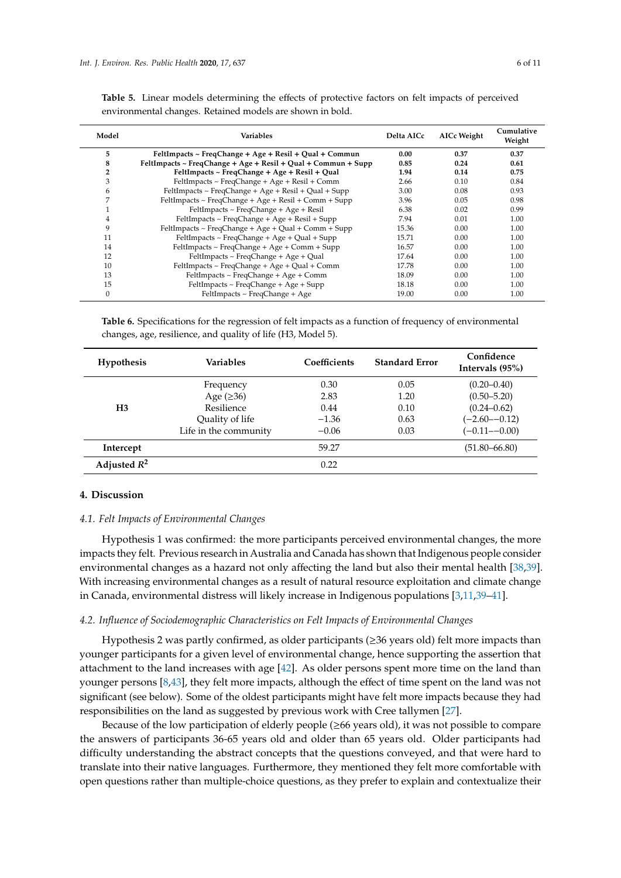| Model          | Variables                                                     | Delta AICc | <b>AICc Weight</b> | Cumulative<br>Weight |
|----------------|---------------------------------------------------------------|------------|--------------------|----------------------|
| 5              | FeltImpacts ~ FreqChange + Age + Resil + Qual + Commun        | 0.00       | 0.37               | 0.37                 |
| 8              | FeltImpacts ~ FreqChange + Age + Resil + Qual + Commun + Supp | 0.85       | 0.24               | 0.61                 |
| $\overline{2}$ | FeltImpacts ~ FreqChange + Age + Resil + Qual                 | 1.94       | 0.14               | 0.75                 |
| 3              | FeltImpacts ~ FreqChange + Age + Resil + Comm                 | 2.66       | 0.10               | 0.84                 |
| 6              | FeltImpacts ~ FreqChange + Age + Resil + Qual + Supp          | 3.00       | 0.08               | 0.93                 |
| 7              | FeltImpacts ~ FreqChange + Age + Resil + Comm + Supp          | 3.96       | 0.05               | 0.98                 |
|                | FeltImpacts ~ FreqChange + Age + Resil                        | 6.38       | 0.02               | 0.99                 |
| 4              | FeltImpacts ~ FreqChange + Age + Resil + Supp                 | 7.94       | 0.01               | 1.00                 |
| 9              | FeltImpacts ~ FreqChange + Age + Qual + Comm + Supp           | 15.36      | 0.00               | 1.00                 |
| 11             | FeltImpacts ~ FreqChange + Age + Qual + Supp                  | 15.71      | 0.00               | 1.00                 |
| 14             | FeltImpacts ~ FreqChange + Age + Comm + Supp                  | 16.57      | 0.00               | 1.00                 |
| 12             | FeltImpacts ~ FreqChange + Age + Qual                         | 17.64      | 0.00               | 1.00                 |
| 10             | FeltImpacts ~ FreqChange + Age + Qual + Comm                  | 17.78      | 0.00               | 1.00                 |
| 13             | FeltImpacts ~ FreqChange + Age + Comm                         | 18.09      | 0.00               | 1.00                 |
| 15             | FeltImpacts ~ FreqChange + Age + Supp                         | 18.18      | 0.00               | 1.00                 |
| $\mathbf{0}$   | FeltImpacts $\sim$ FreqChange + Age                           | 19.00      | 0.00               | 1.00                 |

<span id="page-5-0"></span>**Table 5.** Linear models determining the effects of protective factors on felt impacts of perceived environmental changes. Retained models are shown in bold.

<span id="page-5-1"></span>**Table 6.** Specifications for the regression of felt impacts as a function of frequency of environmental changes, age, resilience, and quality of life (H3, Model 5).

| <b>Hypothesis</b> | <b>Variables</b>      | Coefficients | <b>Standard Error</b> | Confidence<br>Intervals (95%) |
|-------------------|-----------------------|--------------|-----------------------|-------------------------------|
|                   | Frequency             | 0.30         | 0.05                  | $(0.20 - 0.40)$               |
|                   | Age $(\geq 36)$       | 2.83         | 1.20                  | $(0.50 - 5.20)$               |
| H <sub>3</sub>    | Resilience            | 0.44         | 0.10                  | $(0.24 - 0.62)$               |
|                   | Quality of life       | $-1.36$      | 0.63                  | $(-2.60 - 0.12)$              |
|                   | Life in the community | $-0.06$      | 0.03                  | $(-0.11 - 0.00)$              |
| Intercept         |                       | 59.27        |                       | $(51.80 - 66.80)$             |
| Adjusted $R^2$    |                       | 0.22         |                       |                               |

## **4. Discussion**

## *4.1. Felt Impacts of Environmental Changes*

Hypothesis 1 was confirmed: the more participants perceived environmental changes, the more impacts they felt. Previous research in Australia and Canada has shown that Indigenous people consider environmental changes as a hazard not only affecting the land but also their mental health [\[38,](#page-9-5)[39\]](#page-9-6). With increasing environmental changes as a result of natural resource exploitation and climate change in Canada, environmental distress will likely increase in Indigenous populations [\[3,](#page-7-6)[11,](#page-8-0)[39](#page-9-6)[–41\]](#page-9-7).

### *4.2. Influence of Sociodemographic Characteristics on Felt Impacts of Environmental Changes*

Hypothesis 2 was partly confirmed, as older participants ( $\geq$ 36 years old) felt more impacts than younger participants for a given level of environmental change, hence supporting the assertion that attachment to the land increases with age [\[42\]](#page-9-8). As older persons spent more time on the land than younger persons [\[8](#page-7-5)[,43\]](#page-9-9), they felt more impacts, although the effect of time spent on the land was not significant (see below). Some of the oldest participants might have felt more impacts because they had responsibilities on the land as suggested by previous work with Cree tallymen [\[27\]](#page-8-12).

Because of the low participation of elderly people (≥66 years old), it was not possible to compare the answers of participants 36-65 years old and older than 65 years old. Older participants had difficulty understanding the abstract concepts that the questions conveyed, and that were hard to translate into their native languages. Furthermore, they mentioned they felt more comfortable with open questions rather than multiple-choice questions, as they prefer to explain and contextualize their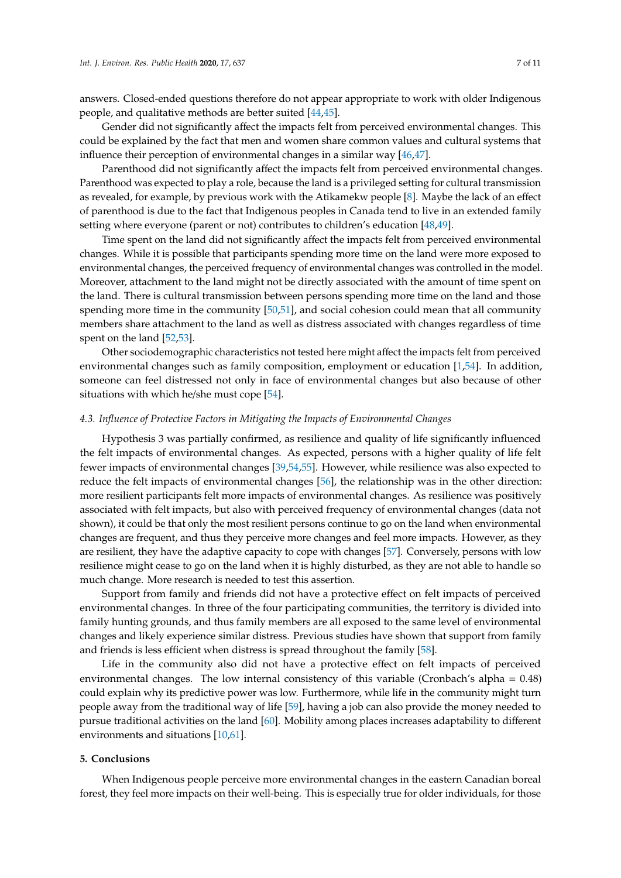answers. Closed-ended questions therefore do not appear appropriate to work with older Indigenous people, and qualitative methods are better suited [\[44](#page-9-10)[,45\]](#page-9-11).

Gender did not significantly affect the impacts felt from perceived environmental changes. This could be explained by the fact that men and women share common values and cultural systems that influence their perception of environmental changes in a similar way [\[46,](#page-9-12)[47\]](#page-9-13).

Parenthood did not significantly affect the impacts felt from perceived environmental changes. Parenthood was expected to play a role, because the land is a privileged setting for cultural transmission as revealed, for example, by previous work with the Atikamekw people [\[8\]](#page-7-5). Maybe the lack of an effect of parenthood is due to the fact that Indigenous peoples in Canada tend to live in an extended family setting where everyone (parent or not) contributes to children's education [\[48](#page-9-14)[,49\]](#page-9-15).

Time spent on the land did not significantly affect the impacts felt from perceived environmental changes. While it is possible that participants spending more time on the land were more exposed to environmental changes, the perceived frequency of environmental changes was controlled in the model. Moreover, attachment to the land might not be directly associated with the amount of time spent on the land. There is cultural transmission between persons spending more time on the land and those spending more time in the community [\[50,](#page-9-16)[51\]](#page-9-17), and social cohesion could mean that all community members share attachment to the land as well as distress associated with changes regardless of time spent on the land [\[52,](#page-9-18)[53\]](#page-9-19).

Other sociodemographic characteristics not tested here might affect the impacts felt from perceived environmental changes such as family composition, employment or education [\[1](#page-7-0)[,54\]](#page-9-20). In addition, someone can feel distressed not only in face of environmental changes but also because of other situations with which he/she must cope [\[54\]](#page-9-20).

#### *4.3. Influence of Protective Factors in Mitigating the Impacts of Environmental Changes*

Hypothesis 3 was partially confirmed, as resilience and quality of life significantly influenced the felt impacts of environmental changes. As expected, persons with a higher quality of life felt fewer impacts of environmental changes [\[39,](#page-9-6)[54,](#page-9-20)[55\]](#page-9-21). However, while resilience was also expected to reduce the felt impacts of environmental changes [\[56\]](#page-10-0), the relationship was in the other direction: more resilient participants felt more impacts of environmental changes. As resilience was positively associated with felt impacts, but also with perceived frequency of environmental changes (data not shown), it could be that only the most resilient persons continue to go on the land when environmental changes are frequent, and thus they perceive more changes and feel more impacts. However, as they are resilient, they have the adaptive capacity to cope with changes [\[57\]](#page-10-1). Conversely, persons with low resilience might cease to go on the land when it is highly disturbed, as they are not able to handle so much change. More research is needed to test this assertion.

Support from family and friends did not have a protective effect on felt impacts of perceived environmental changes. In three of the four participating communities, the territory is divided into family hunting grounds, and thus family members are all exposed to the same level of environmental changes and likely experience similar distress. Previous studies have shown that support from family and friends is less efficient when distress is spread throughout the family [\[58\]](#page-10-2).

Life in the community also did not have a protective effect on felt impacts of perceived environmental changes. The low internal consistency of this variable (Cronbach's alpha = 0.48) could explain why its predictive power was low. Furthermore, while life in the community might turn people away from the traditional way of life [\[59\]](#page-10-3), having a job can also provide the money needed to pursue traditional activities on the land [\[60\]](#page-10-4). Mobility among places increases adaptability to different environments and situations [\[10,](#page-8-6)[61\]](#page-10-5).

## **5. Conclusions**

When Indigenous people perceive more environmental changes in the eastern Canadian boreal forest, they feel more impacts on their well-being. This is especially true for older individuals, for those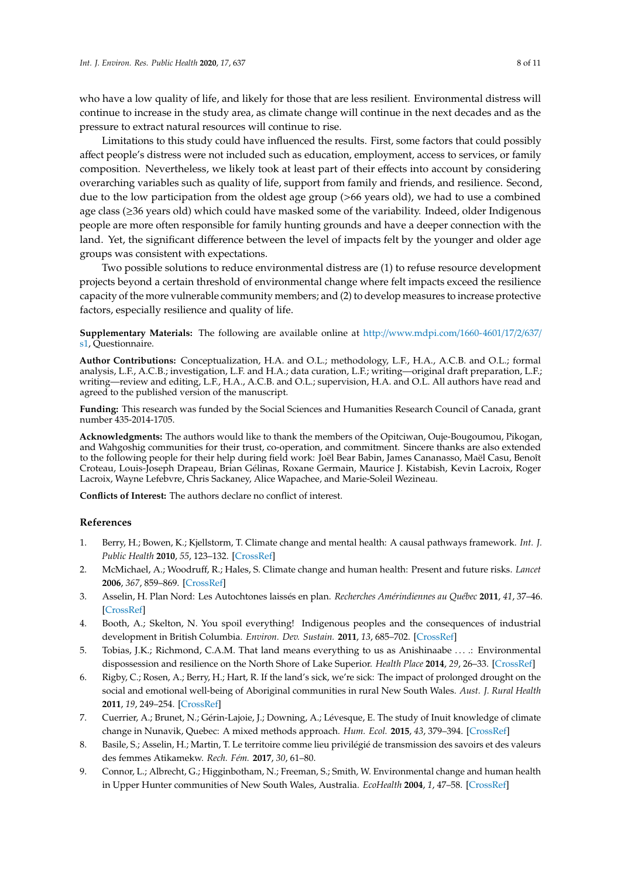who have a low quality of life, and likely for those that are less resilient. Environmental distress will continue to increase in the study area, as climate change will continue in the next decades and as the pressure to extract natural resources will continue to rise.

Limitations to this study could have influenced the results. First, some factors that could possibly affect people's distress were not included such as education, employment, access to services, or family composition. Nevertheless, we likely took at least part of their effects into account by considering overarching variables such as quality of life, support from family and friends, and resilience. Second, due to the low participation from the oldest age group (>66 years old), we had to use a combined age class (≥36 years old) which could have masked some of the variability. Indeed, older Indigenous people are more often responsible for family hunting grounds and have a deeper connection with the land. Yet, the significant difference between the level of impacts felt by the younger and older age groups was consistent with expectations.

Two possible solutions to reduce environmental distress are (1) to refuse resource development projects beyond a certain threshold of environmental change where felt impacts exceed the resilience capacity of the more vulnerable community members; and (2) to develop measures to increase protective factors, especially resilience and quality of life.

**Supplementary Materials:** The following are available online at http://[www.mdpi.com](http://www.mdpi.com/1660-4601/17/2/637/s1)/1660-4601/17/2/637/ [s1,](http://www.mdpi.com/1660-4601/17/2/637/s1) Questionnaire.

**Author Contributions:** Conceptualization, H.A. and O.L.; methodology, L.F., H.A., A.C.B. and O.L.; formal analysis, L.F., A.C.B.; investigation, L.F. and H.A.; data curation, L.F.; writing—original draft preparation, L.F.; writing—review and editing, L.F., H.A., A.C.B. and O.L.; supervision, H.A. and O.L. All authors have read and agreed to the published version of the manuscript.

**Funding:** This research was funded by the Social Sciences and Humanities Research Council of Canada, grant number 435-2014-1705.

**Acknowledgments:** The authors would like to thank the members of the Opitciwan, Ouje-Bougoumou, Pikogan, and Wahgoshig communities for their trust, co-operation, and commitment. Sincere thanks are also extended to the following people for their help during field work: Joël Bear Babin, James Cananasso, Maël Casu, Benoît Croteau, Louis-Joseph Drapeau, Brian Gélinas, Roxane Germain, Maurice J. Kistabish, Kevin Lacroix, Roger Lacroix, Wayne Lefebvre, Chris Sackaney, Alice Wapachee, and Marie-Soleil Wezineau.

**Conflicts of Interest:** The authors declare no conflict of interest.

#### **References**

- <span id="page-7-0"></span>1. Berry, H.; Bowen, K.; Kjellstorm, T. Climate change and mental health: A causal pathways framework. *Int. J. Public Health* **2010**, *55*, 123–132. [\[CrossRef\]](http://dx.doi.org/10.1007/s00038-009-0112-0)
- 2. McMichael, A.; Woodruff, R.; Hales, S. Climate change and human health: Present and future risks. *Lancet* **2006**, *367*, 859–869. [\[CrossRef\]](http://dx.doi.org/10.1016/S0140-6736(06)68079-3)
- <span id="page-7-6"></span>3. Asselin, H. Plan Nord: Les Autochtones laissés en plan. *Recherches Amérindiennes au Québec* **2011**, *41*, 37–46. [\[CrossRef\]](http://dx.doi.org/10.7202/1012702ar)
- <span id="page-7-1"></span>4. Booth, A.; Skelton, N. You spoil everything! Indigenous peoples and the consequences of industrial development in British Columbia. *Environ. Dev. Sustain.* **2011**, *13*, 685–702. [\[CrossRef\]](http://dx.doi.org/10.1007/s10668-011-9284-x)
- <span id="page-7-2"></span>5. Tobias, J.K.; Richmond, C.A.M. That land means everything to us as Anishinaabe . . . .: Environmental dispossession and resilience on the North Shore of Lake Superior. *Health Place* **2014**, *29*, 26–33. [\[CrossRef\]](http://dx.doi.org/10.1016/j.healthplace.2014.05.008)
- <span id="page-7-4"></span>6. Rigby, C.; Rosen, A.; Berry, H.; Hart, R. If the land's sick, we're sick: The impact of prolonged drought on the social and emotional well-being of Aboriginal communities in rural New South Wales. *Aust. J. Rural Health* **2011**, *19*, 249–254. [\[CrossRef\]](http://dx.doi.org/10.1111/j.1440-1584.2011.01223.x)
- <span id="page-7-3"></span>7. Cuerrier, A.; Brunet, N.; Gérin-Lajoie, J.; Downing, A.; Lévesque, E. The study of Inuit knowledge of climate change in Nunavik, Quebec: A mixed methods approach. *Hum. Ecol.* **2015**, *43*, 379–394. [\[CrossRef\]](http://dx.doi.org/10.1007/s10745-015-9750-4)
- <span id="page-7-5"></span>8. Basile, S.; Asselin, H.; Martin, T. Le territoire comme lieu privilégié de transmission des savoirs et des valeurs des femmes Atikamekw. *Rech. Fém.* **2017**, *30*, 61–80.
- 9. Connor, L.; Albrecht, G.; Higginbotham, N.; Freeman, S.; Smith, W. Environmental change and human health in Upper Hunter communities of New South Wales, Australia. *EcoHealth* **2004**, *1*, 47–58. [\[CrossRef\]](http://dx.doi.org/10.1007/s10393-004-0053-2)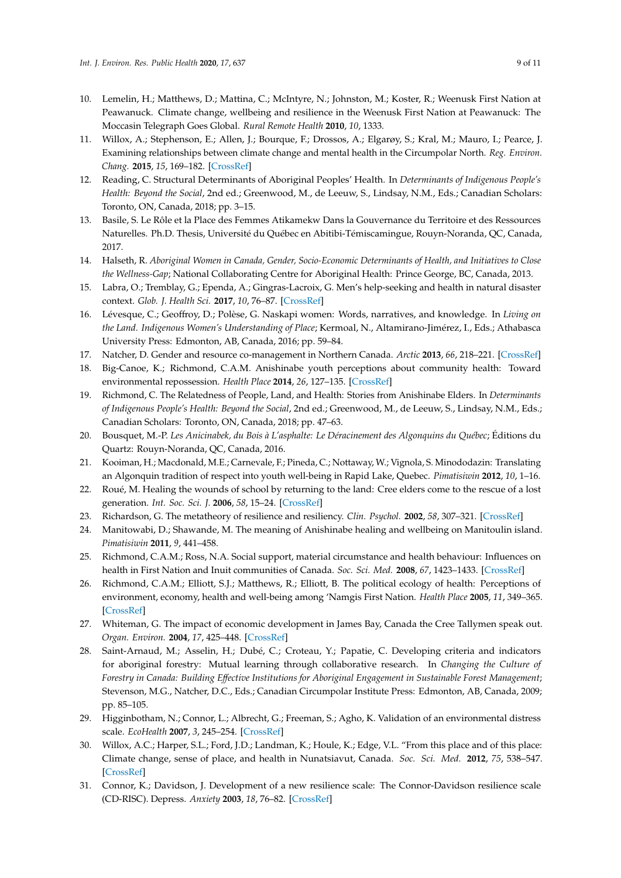- <span id="page-8-6"></span>10. Lemelin, H.; Matthews, D.; Mattina, C.; McIntyre, N.; Johnston, M.; Koster, R.; Weenusk First Nation at Peawanuck. Climate change, wellbeing and resilience in the Weenusk First Nation at Peawanuck: The Moccasin Telegraph Goes Global. *Rural Remote Health* **2010**, *10*, 1333.
- <span id="page-8-0"></span>11. Willox, A.; Stephenson, E.; Allen, J.; Bourque, F.; Drossos, A.; Elgarøy, S.; Kral, M.; Mauro, I.; Pearce, J. Examining relationships between climate change and mental health in the Circumpolar North. *Reg. Environ. Chang.* **2015**, *15*, 169–182. [\[CrossRef\]](http://dx.doi.org/10.1007/s10113-014-0630-z)
- <span id="page-8-1"></span>12. Reading, C. Structural Determinants of Aboriginal Peoples' Health. In *Determinants of Indigenous People's Health: Beyond the Social*, 2nd ed.; Greenwood, M., de Leeuw, S., Lindsay, N.M., Eds.; Canadian Scholars: Toronto, ON, Canada, 2018; pp. 3–15.
- <span id="page-8-2"></span>13. Basile, S. Le Rôle et la Place des Femmes Atikamekw Dans la Gouvernance du Territoire et des Ressources Naturelles. Ph.D. Thesis, Université du Québec en Abitibi-Témiscamingue, Rouyn-Noranda, QC, Canada, 2017.
- 14. Halseth, R. *Aboriginal Women in Canada, Gender, Socio-Economic Determinants of Health, and Initiatives to Close the Wellness-Gap*; National Collaborating Centre for Aboriginal Health: Prince George, BC, Canada, 2013.
- 15. Labra, O.; Tremblay, G.; Ependa, A.; Gingras-Lacroix, G. Men's help-seeking and health in natural disaster context. *Glob. J. Health Sci.* **2017**, *10*, 76–87. [\[CrossRef\]](http://dx.doi.org/10.5539/gjhs.v10n1p76)
- 16. Lévesque, C.; Geoffroy, D.; Polèse, G. Naskapi women: Words, narratives, and knowledge. In *Living on the Land. Indigenous Women's Understanding of Place*; Kermoal, N., Altamirano-Jimérez, I., Eds.; Athabasca University Press: Edmonton, AB, Canada, 2016; pp. 59–84.
- <span id="page-8-3"></span>17. Natcher, D. Gender and resource co-management in Northern Canada. *Arctic* **2013**, *66*, 218–221. [\[CrossRef\]](http://dx.doi.org/10.14430/arctic4293)
- <span id="page-8-4"></span>18. Big-Canoe, K.; Richmond, C.A.M. Anishinabe youth perceptions about community health: Toward environmental repossession. *Health Place* **2014**, *26*, 127–135. [\[CrossRef\]](http://dx.doi.org/10.1016/j.healthplace.2013.12.013)
- <span id="page-8-8"></span>19. Richmond, C. The Relatedness of People, Land, and Health: Stories from Anishinabe Elders. In *Determinants of Indigenous People's Health: Beyond the Social*, 2nd ed.; Greenwood, M., de Leeuw, S., Lindsay, N.M., Eds.; Canadian Scholars: Toronto, ON, Canada, 2018; pp. 47–63.
- 20. Bousquet, M.-P. *Les Anicinabek, du Bois à L'asphalte: Le Déracinement des Algonquins du Québec*; Éditions du Quartz: Rouyn-Noranda, QC, Canada, 2016.
- 21. Kooiman, H.; Macdonald, M.E.; Carnevale, F.; Pineda, C.; Nottaway, W.; Vignola, S. Minododazin: Translating an Algonquin tradition of respect into youth well-being in Rapid Lake, Quebec. *Pimatisiwin* **2012**, *10*, 1–16.
- <span id="page-8-5"></span>22. Roué, M. Healing the wounds of school by returning to the land: Cree elders come to the rescue of a lost generation. *Int. Soc. Sci. J.* **2006**, *58*, 15–24. [\[CrossRef\]](http://dx.doi.org/10.1111/j.1468-2451.2006.00596.x)
- <span id="page-8-7"></span>23. Richardson, G. The metatheory of resilience and resiliency. *Clin. Psychol.* **2002**, *58*, 307–321. [\[CrossRef\]](http://dx.doi.org/10.1002/jclp.10020)
- <span id="page-8-9"></span>24. Manitowabi, D.; Shawande, M. The meaning of Anishinabe healing and wellbeing on Manitoulin island. *Pimatisiwin* **2011**, *9*, 441–458.
- <span id="page-8-10"></span>25. Richmond, C.A.M.; Ross, N.A. Social support, material circumstance and health behaviour: Influences on health in First Nation and Inuit communities of Canada. *Soc. Sci. Med.* **2008**, *67*, 1423–1433. [\[CrossRef\]](http://dx.doi.org/10.1016/j.socscimed.2008.06.028)
- <span id="page-8-11"></span>26. Richmond, C.A.M.; Elliott, S.J.; Matthews, R.; Elliott, B. The political ecology of health: Perceptions of environment, economy, health and well-being among 'Namgis First Nation. *Health Place* **2005**, *11*, 349–365. [\[CrossRef\]](http://dx.doi.org/10.1016/j.healthplace.2004.04.003)
- <span id="page-8-12"></span>27. Whiteman, G. The impact of economic development in James Bay, Canada the Cree Tallymen speak out. *Organ. Environ.* **2004**, *17*, 425–448. [\[CrossRef\]](http://dx.doi.org/10.1177/1086026604270636)
- <span id="page-8-13"></span>28. Saint-Arnaud, M.; Asselin, H.; Dubé, C.; Croteau, Y.; Papatie, C. Developing criteria and indicators for aboriginal forestry: Mutual learning through collaborative research. In *Changing the Culture of Forestry in Canada: Building E*ff*ective Institutions for Aboriginal Engagement in Sustainable Forest Management*; Stevenson, M.G., Natcher, D.C., Eds.; Canadian Circumpolar Institute Press: Edmonton, AB, Canada, 2009; pp. 85–105.
- <span id="page-8-14"></span>29. Higginbotham, N.; Connor, L.; Albrecht, G.; Freeman, S.; Agho, K. Validation of an environmental distress scale. *EcoHealth* **2007**, *3*, 245–254. [\[CrossRef\]](http://dx.doi.org/10.1007/s10393-006-0069-x)
- <span id="page-8-15"></span>30. Willox, A.C.; Harper, S.L.; Ford, J.D.; Landman, K.; Houle, K.; Edge, V.L. "From this place and of this place: Climate change, sense of place, and health in Nunatsiavut, Canada. *Soc. Sci. Med.* **2012**, *75*, 538–547. [\[CrossRef\]](http://dx.doi.org/10.1016/j.socscimed.2012.03.043)
- <span id="page-8-16"></span>31. Connor, K.; Davidson, J. Development of a new resilience scale: The Connor-Davidson resilience scale (CD-RISC). Depress. *Anxiety* **2003**, *18*, 76–82. [\[CrossRef\]](http://dx.doi.org/10.1002/da.10113)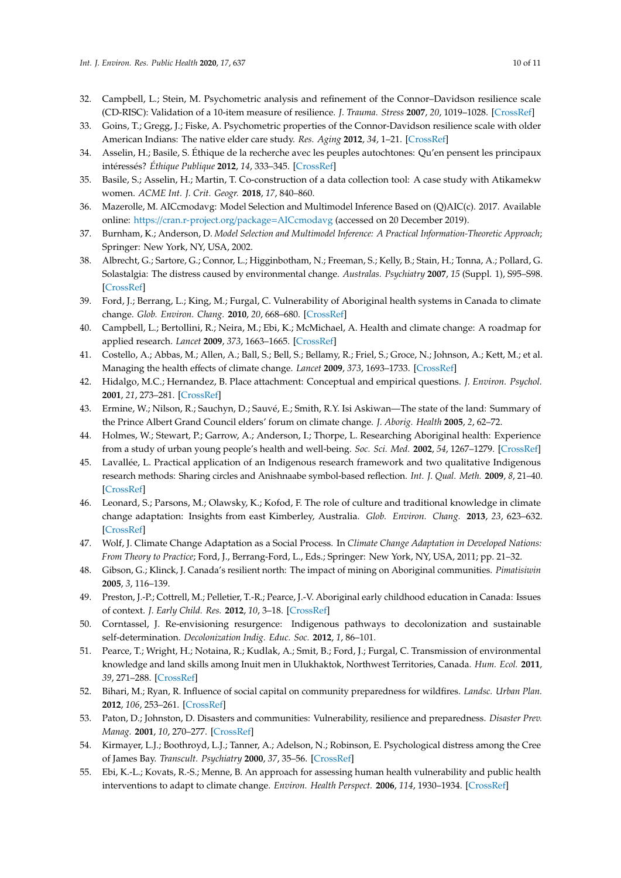- 32. Campbell, L.; Stein, M. Psychometric analysis and refinement of the Connor–Davidson resilience scale (CD-RISC): Validation of a 10-item measure of resilience. *J. Trauma. Stress* **2007**, *20*, 1019–1028. [\[CrossRef\]](http://dx.doi.org/10.1002/jts.20271)
- <span id="page-9-0"></span>33. Goins, T.; Gregg, J.; Fiske, A. Psychometric properties of the Connor-Davidson resilience scale with older American Indians: The native elder care study. *Res. Aging* **2012**, *34*, 1–21. [\[CrossRef\]](http://dx.doi.org/10.1177/0164027511431989)
- <span id="page-9-1"></span>34. Asselin, H.; Basile, S. Éthique de la recherche avec les peuples autochtones: Qu'en pensent les principaux intéressés? *Éthique Publique* **2012**, *14*, 333–345. [\[CrossRef\]](http://dx.doi.org/10.4000/ethiquepublique.959)
- <span id="page-9-2"></span>35. Basile, S.; Asselin, H.; Martin, T. Co-construction of a data collection tool: A case study with Atikamekw women. *ACME Int. J. Crit. Geogr.* **2018**, *17*, 840–860.
- <span id="page-9-3"></span>36. Mazerolle, M. AICcmodavg: Model Selection and Multimodel Inference Based on (Q)AIC(c). 2017. Available online: https://[cran.r-project.org](https://cran.r-project.org/package=AICcmodavg)/package=AICcmodavg (accessed on 20 December 2019).
- <span id="page-9-4"></span>37. Burnham, K.; Anderson, D. *Model Selection and Multimodel Inference: A Practical Information-Theoretic Approach*; Springer: New York, NY, USA, 2002.
- <span id="page-9-5"></span>38. Albrecht, G.; Sartore, G.; Connor, L.; Higginbotham, N.; Freeman, S.; Kelly, B.; Stain, H.; Tonna, A.; Pollard, G. Solastalgia: The distress caused by environmental change. *Australas. Psychiatry* **2007**, *15* (Suppl. 1), S95–S98. [\[CrossRef\]](http://dx.doi.org/10.1080/10398560701701288)
- <span id="page-9-6"></span>39. Ford, J.; Berrang, L.; King, M.; Furgal, C. Vulnerability of Aboriginal health systems in Canada to climate change. *Glob. Environ. Chang.* **2010**, *20*, 668–680. [\[CrossRef\]](http://dx.doi.org/10.1016/j.gloenvcha.2010.05.003)
- 40. Campbell, L.; Bertollini, R.; Neira, M.; Ebi, K.; McMichael, A. Health and climate change: A roadmap for applied research. *Lancet* **2009**, *373*, 1663–1665. [\[CrossRef\]](http://dx.doi.org/10.1016/S0140-6736(09)60926-0)
- <span id="page-9-7"></span>41. Costello, A.; Abbas, M.; Allen, A.; Ball, S.; Bell, S.; Bellamy, R.; Friel, S.; Groce, N.; Johnson, A.; Kett, M.; et al. Managing the health effects of climate change. *Lancet* **2009**, *373*, 1693–1733. [\[CrossRef\]](http://dx.doi.org/10.1016/S0140-6736(09)60935-1)
- <span id="page-9-8"></span>42. Hidalgo, M.C.; Hernandez, B. Place attachment: Conceptual and empirical questions. *J. Environ. Psychol.* **2001**, *21*, 273–281. [\[CrossRef\]](http://dx.doi.org/10.1006/jevp.2001.0221)
- <span id="page-9-9"></span>43. Ermine, W.; Nilson, R.; Sauchyn, D.; Sauvé, E.; Smith, R.Y. Isi Askiwan—The state of the land: Summary of the Prince Albert Grand Council elders' forum on climate change. *J. Aborig. Health* **2005**, *2*, 62–72.
- <span id="page-9-10"></span>44. Holmes, W.; Stewart, P.; Garrow, A.; Anderson, I.; Thorpe, L. Researching Aboriginal health: Experience from a study of urban young people's health and well-being. *Soc. Sci. Med.* **2002**, *54*, 1267–1279. [\[CrossRef\]](http://dx.doi.org/10.1016/S0277-9536(01)00095-8)
- <span id="page-9-11"></span>45. Lavallée, L. Practical application of an Indigenous research framework and two qualitative Indigenous research methods: Sharing circles and Anishnaabe symbol-based reflection. *Int. J. Qual. Meth.* **2009**, *8*, 21–40. [\[CrossRef\]](http://dx.doi.org/10.1177/160940690900800103)
- <span id="page-9-12"></span>46. Leonard, S.; Parsons, M.; Olawsky, K.; Kofod, F. The role of culture and traditional knowledge in climate change adaptation: Insights from east Kimberley, Australia. *Glob. Environ. Chang.* **2013**, *23*, 623–632. [\[CrossRef\]](http://dx.doi.org/10.1016/j.gloenvcha.2013.02.012)
- <span id="page-9-13"></span>47. Wolf, J. Climate Change Adaptation as a Social Process. In *Climate Change Adaptation in Developed Nations: From Theory to Practice*; Ford, J., Berrang-Ford, L., Eds.; Springer: New York, NY, USA, 2011; pp. 21–32.
- <span id="page-9-14"></span>48. Gibson, G.; Klinck, J. Canada's resilient north: The impact of mining on Aboriginal communities. *Pimatisiwin* **2005**, *3*, 116–139.
- <span id="page-9-15"></span>49. Preston, J.-P.; Cottrell, M.; Pelletier, T.-R.; Pearce, J.-V. Aboriginal early childhood education in Canada: Issues of context. *J. Early Child. Res.* **2012**, *10*, 3–18. [\[CrossRef\]](http://dx.doi.org/10.1177/1476718X11402753)
- <span id="page-9-16"></span>50. Corntassel, J. Re-envisioning resurgence: Indigenous pathways to decolonization and sustainable self-determination. *Decolonization Indig. Educ. Soc.* **2012**, *1*, 86–101.
- <span id="page-9-17"></span>51. Pearce, T.; Wright, H.; Notaina, R.; Kudlak, A.; Smit, B.; Ford, J.; Furgal, C. Transmission of environmental knowledge and land skills among Inuit men in Ulukhaktok, Northwest Territories, Canada. *Hum. Ecol.* **2011**, *39*, 271–288. [\[CrossRef\]](http://dx.doi.org/10.1007/s10745-011-9403-1)
- <span id="page-9-18"></span>52. Bihari, M.; Ryan, R. Influence of social capital on community preparedness for wildfires. *Landsc. Urban Plan.* **2012**, *106*, 253–261. [\[CrossRef\]](http://dx.doi.org/10.1016/j.landurbplan.2012.03.011)
- <span id="page-9-19"></span>53. Paton, D.; Johnston, D. Disasters and communities: Vulnerability, resilience and preparedness. *Disaster Prev. Manag.* **2001**, *10*, 270–277. [\[CrossRef\]](http://dx.doi.org/10.1108/EUM0000000005930)
- <span id="page-9-20"></span>54. Kirmayer, L.J.; Boothroyd, L.J.; Tanner, A.; Adelson, N.; Robinson, E. Psychological distress among the Cree of James Bay. *Transcult. Psychiatry* **2000**, *37*, 35–56. [\[CrossRef\]](http://dx.doi.org/10.1177/136346150003700102)
- <span id="page-9-21"></span>55. Ebi, K.-L.; Kovats, R.-S.; Menne, B. An approach for assessing human health vulnerability and public health interventions to adapt to climate change. *Environ. Health Perspect.* **2006**, *114*, 1930–1934. [\[CrossRef\]](http://dx.doi.org/10.1289/ehp.8430)